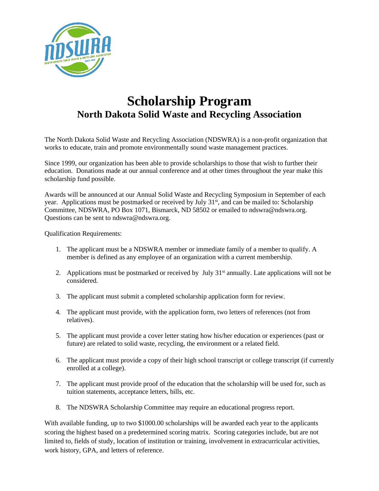

## **Scholarship Program North Dakota Solid Waste and Recycling Association**

The North Dakota Solid Waste and Recycling Association (NDSWRA) is a non-profit organization that works to educate, train and promote environmentally sound waste management practices.

Since 1999, our organization has been able to provide scholarships to those that wish to further their education. Donations made at our annual conference and at other times throughout the year make this scholarship fund possible.

Awards will be announced at our Annual Solid Waste and Recycling Symposium in September of each year. Applications must be postmarked or received by July 31<sup>st</sup>, and can be mailed to: Scholarship Committee, NDSWRA, PO Box 1071, Bismarck, ND 58502 or emailed to ndswra@ndswra.org. Questions can be sent to ndswra@ndswra.org.

Qualification Requirements:

- 1. The applicant must be a NDSWRA member or immediate family of a member to qualify. A member is defined as any employee of an organization with a current membership.
- 2. Applications must be postmarked or received by July 31<sup>st</sup> annually. Late applications will not be considered.
- 3. The applicant must submit a completed scholarship application form for review.
- 4. The applicant must provide, with the application form, two letters of references (not from relatives).
- 5. The applicant must provide a cover letter stating how his/her education or experiences (past or future) are related to solid waste, recycling, the environment or a related field.
- 6. The applicant must provide a copy of their high school transcript or college transcript (if currently enrolled at a college).
- 7. The applicant must provide proof of the education that the scholarship will be used for, such as tuition statements, acceptance letters, bills, etc.
- 8. The NDSWRA Scholarship Committee may require an educational progress report.

With available funding, up to two \$1000.00 scholarships will be awarded each year to the applicants scoring the highest based on a predetermined scoring matrix. Scoring categories include, but are not limited to, fields of study, location of institution or training, involvement in extracurricular activities, work history, GPA, and letters of reference.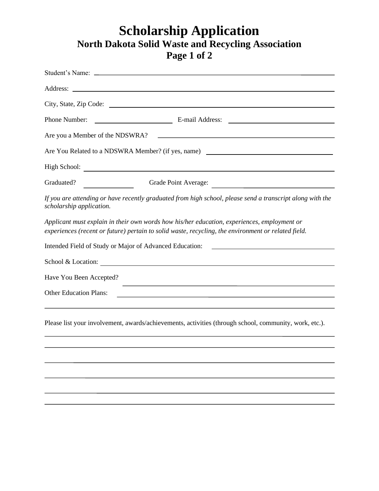## **Scholarship Application North Dakota Solid Waste and Recycling Association Page 1 of 2**

| Phone Number:                                                                                                                                                                                      |
|----------------------------------------------------------------------------------------------------------------------------------------------------------------------------------------------------|
| Are you a Member of the NDSWRA?                                                                                                                                                                    |
|                                                                                                                                                                                                    |
|                                                                                                                                                                                                    |
| Graduated?<br>Grade Point Average:                                                                                                                                                                 |
| If you are attending or have recently graduated from high school, please send a transcript along with the<br>scholarship application.                                                              |
| Applicant must explain in their own words how his/her education, experiences, employment or<br>experiences (recent or future) pertain to solid waste, recycling, the environment or related field. |
| Intended Field of Study or Major of Advanced Education:<br><u> 1989 - Johann Barbara, martin amerikan basal dan berasal dan berasal dalam basal dan berasal dalam berasal da</u>                   |
| School & Location:                                                                                                                                                                                 |
| Have You Been Accepted?                                                                                                                                                                            |
| <b>Other Education Plans:</b>                                                                                                                                                                      |
|                                                                                                                                                                                                    |
| Please list your involvement, awards/achievements, activities (through school, community, work, etc.).                                                                                             |
|                                                                                                                                                                                                    |
|                                                                                                                                                                                                    |
|                                                                                                                                                                                                    |
|                                                                                                                                                                                                    |
|                                                                                                                                                                                                    |